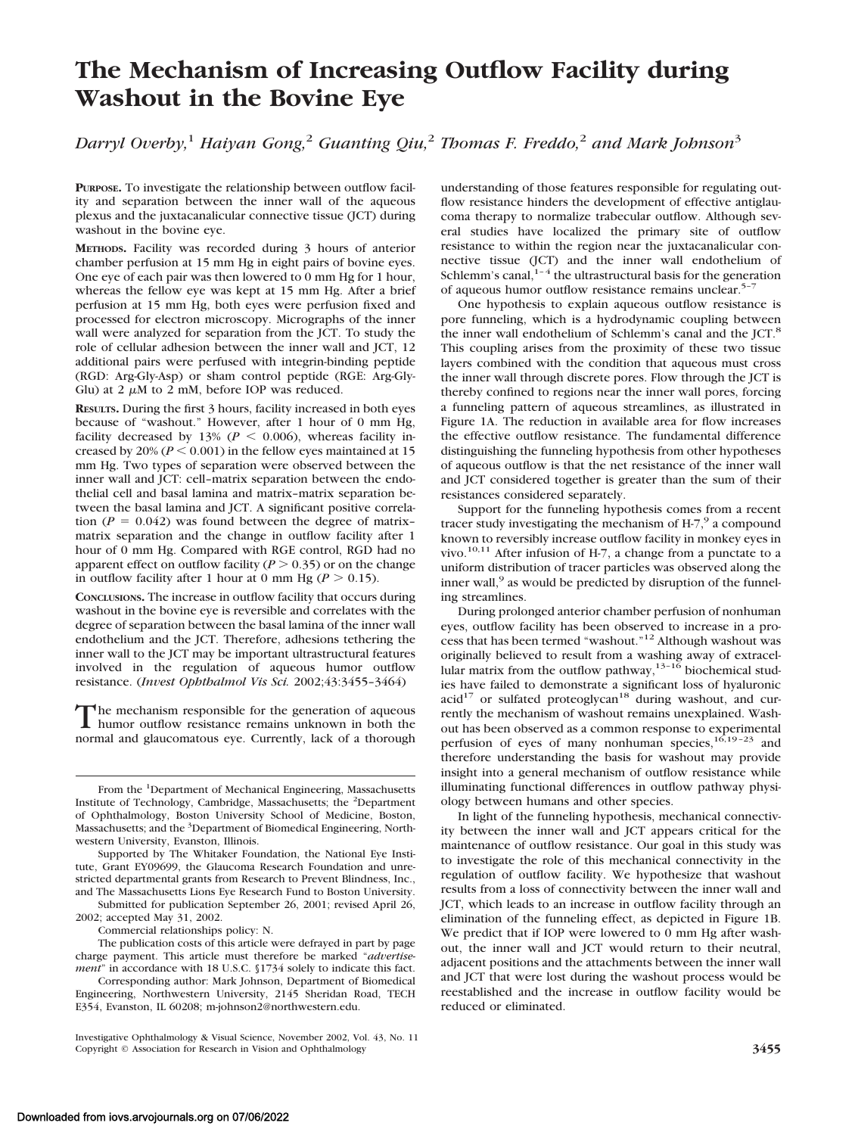# **The Mechanism of Increasing Outflow Facility during Washout in the Bovine Eye**

*Darryl Overby,*<sup>1</sup> *Haiyan Gong,*<sup>2</sup> *Guanting Qiu,*<sup>2</sup> *Thomas F. Freddo,*<sup>2</sup> *and Mark Johnson*<sup>3</sup>

**PURPOSE.** To investigate the relationship between outflow facility and separation between the inner wall of the aqueous plexus and the juxtacanalicular connective tissue (JCT) during washout in the bovine eye.

**METHODS.** Facility was recorded during 3 hours of anterior chamber perfusion at 15 mm Hg in eight pairs of bovine eyes. One eye of each pair was then lowered to 0 mm Hg for 1 hour, whereas the fellow eye was kept at 15 mm Hg. After a brief perfusion at 15 mm Hg, both eyes were perfusion fixed and processed for electron microscopy. Micrographs of the inner wall were analyzed for separation from the JCT. To study the role of cellular adhesion between the inner wall and JCT, 12 additional pairs were perfused with integrin-binding peptide (RGD: Arg-Gly-Asp) or sham control peptide (RGE: Arg-Gly-Glu) at 2  $\mu$ M to 2 mM, before IOP was reduced.

**RESULTS.** During the first 3 hours, facility increased in both eyes because of "washout." However, after 1 hour of 0 mm Hg, facility decreased by 13% ( $P < 0.006$ ), whereas facility increased by  $20\% (P \le 0.001)$  in the fellow eyes maintained at 15 mm Hg. Two types of separation were observed between the inner wall and JCT: cell–matrix separation between the endothelial cell and basal lamina and matrix–matrix separation between the basal lamina and JCT. A significant positive correlation  $(P = 0.042)$  was found between the degree of matrixmatrix separation and the change in outflow facility after 1 hour of 0 mm Hg. Compared with RGE control, RGD had no apparent effect on outflow facility  $(P > 0.35)$  or on the change in outflow facility after 1 hour at 0 mm Hg ( $P > 0.15$ ).

**CONCLUSIONS.** The increase in outflow facility that occurs during washout in the bovine eye is reversible and correlates with the degree of separation between the basal lamina of the inner wall endothelium and the JCT. Therefore, adhesions tethering the inner wall to the JCT may be important ultrastructural features involved in the regulation of aqueous humor outflow resistance. (*Invest Ophthalmol Vis Sci.* 2002;43:3455–3464)

The mechanism responsible for the generation of aqueous<br>humor outflow resistance remains unknown in both the normal and glaucomatous eye. Currently, lack of a thorough

Supported by The Whitaker Foundation, the National Eye Institute, Grant EY09699, the Glaucoma Research Foundation and unrestricted departmental grants from Research to Prevent Blindness, Inc., and The Massachusetts Lions Eye Research Fund to Boston University.

Submitted for publication September 26, 2001; revised April 26, 2002; accepted May 31, 2002.

Commercial relationships policy: N.

The publication costs of this article were defrayed in part by page charge payment. This article must therefore be marked "*advertisement*" in accordance with 18 U.S.C. §1734 solely to indicate this fact.

Corresponding author: Mark Johnson, Department of Biomedical Engineering, Northwestern University, 2145 Sheridan Road, TECH E354, Evanston, IL 60208; m-johnson2@northwestern.edu.

understanding of those features responsible for regulating outflow resistance hinders the development of effective antiglaucoma therapy to normalize trabecular outflow. Although several studies have localized the primary site of outflow resistance to within the region near the juxtacanalicular connective tissue (JCT) and the inner wall endothelium of Schlemm's canal, $1-4$  the ultrastructural basis for the generation of aqueous humor outflow resistance remains unclear.<sup>5-7</sup>

One hypothesis to explain aqueous outflow resistance is pore funneling, which is a hydrodynamic coupling between the inner wall endothelium of Schlemm's canal and the JCT.<sup>8</sup> This coupling arises from the proximity of these two tissue layers combined with the condition that aqueous must cross the inner wall through discrete pores. Flow through the JCT is thereby confined to regions near the inner wall pores, forcing a funneling pattern of aqueous streamlines, as illustrated in Figure 1A. The reduction in available area for flow increases the effective outflow resistance. The fundamental difference distinguishing the funneling hypothesis from other hypotheses of aqueous outflow is that the net resistance of the inner wall and JCT considered together is greater than the sum of their resistances considered separately.

Support for the funneling hypothesis comes from a recent tracer study investigating the mechanism of H-7,<sup>9</sup> a compound known to reversibly increase outflow facility in monkey eyes in vivo.<sup>10,11</sup> After infusion of H-7, a change from a punctate to a uniform distribution of tracer particles was observed along the inner wall, $9$  as would be predicted by disruption of the funneling streamlines.

During prolonged anterior chamber perfusion of nonhuman eyes, outflow facility has been observed to increase in a process that has been termed "washout."12 Although washout was originally believed to result from a washing away of extracellular matrix from the outflow pathway,  $13-16$  biochemical studies have failed to demonstrate a significant loss of hyaluronic  $acid<sup>17</sup>$  or sulfated proteoglycan<sup>18</sup> during washout, and currently the mechanism of washout remains unexplained. Washout has been observed as a common response to experimental perfusion of eyes of many nonhuman species, $16,19-23$  and therefore understanding the basis for washout may provide insight into a general mechanism of outflow resistance while illuminating functional differences in outflow pathway physiology between humans and other species.

In light of the funneling hypothesis, mechanical connectivity between the inner wall and JCT appears critical for the maintenance of outflow resistance. Our goal in this study was to investigate the role of this mechanical connectivity in the regulation of outflow facility. We hypothesize that washout results from a loss of connectivity between the inner wall and JCT, which leads to an increase in outflow facility through an elimination of the funneling effect, as depicted in Figure 1B. We predict that if IOP were lowered to 0 mm Hg after washout, the inner wall and JCT would return to their neutral, adjacent positions and the attachments between the inner wall and JCT that were lost during the washout process would be reestablished and the increase in outflow facility would be reduced or eliminated.

From the <sup>1</sup>Department of Mechanical Engineering, Massachusetts Institute of Technology, Cambridge, Massachusetts; the <sup>2</sup>Department of Ophthalmology, Boston University School of Medicine, Boston, Massachusetts; and the <sup>3</sup>Department of Biomedical Engineering, Northwestern University, Evanston, Illinois.

Investigative Ophthalmology & Visual Science, November 2002, Vol. 43, No. 11 Copyright © Association for Research in Vision and Ophthalmology **3455**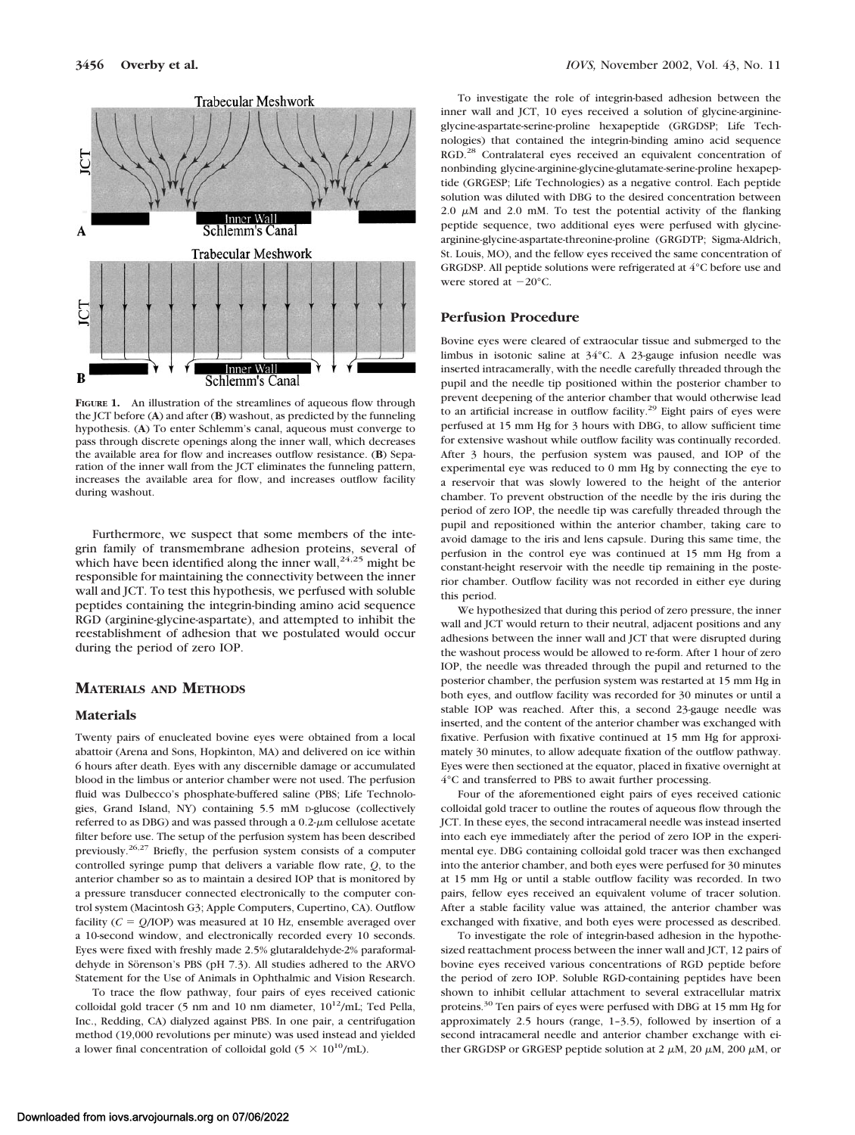

**FIGURE 1.** An illustration of the streamlines of aqueous flow through the JCT before (**A**) and after (**B**) washout, as predicted by the funneling hypothesis. (**A**) To enter Schlemm's canal, aqueous must converge to pass through discrete openings along the inner wall, which decreases the available area for flow and increases outflow resistance. (**B**) Separation of the inner wall from the JCT eliminates the funneling pattern, increases the available area for flow, and increases outflow facility during washout.

Furthermore, we suspect that some members of the integrin family of transmembrane adhesion proteins, several of which have been identified along the inner wall,  $24.25$  might be responsible for maintaining the connectivity between the inner wall and JCT. To test this hypothesis, we perfused with soluble peptides containing the integrin-binding amino acid sequence RGD (arginine-glycine-aspartate), and attempted to inhibit the reestablishment of adhesion that we postulated would occur during the period of zero IOP.

# **MATERIALS AND METHODS**

# **Materials**

Twenty pairs of enucleated bovine eyes were obtained from a local abattoir (Arena and Sons, Hopkinton, MA) and delivered on ice within 6 hours after death. Eyes with any discernible damage or accumulated blood in the limbus or anterior chamber were not used. The perfusion fluid was Dulbecco's phosphate-buffered saline (PBS; Life Technologies, Grand Island, NY) containing 5.5 mM D-glucose (collectively referred to as DBG) and was passed through a 0.2- $\mu$ m cellulose acetate filter before use. The setup of the perfusion system has been described previously.26,27 Briefly, the perfusion system consists of a computer controlled syringe pump that delivers a variable flow rate, *Q*, to the anterior chamber so as to maintain a desired IOP that is monitored by a pressure transducer connected electronically to the computer control system (Macintosh G3; Apple Computers, Cupertino, CA). Outflow facility  $(C = Q/IOP)$  was measured at 10 Hz, ensemble averaged over a 10-second window, and electronically recorded every 10 seconds. Eyes were fixed with freshly made 2.5% glutaraldehyde-2% paraformaldehyde in Sörenson's PBS (pH 7.3). All studies adhered to the ARVO Statement for the Use of Animals in Ophthalmic and Vision Research.

To trace the flow pathway, four pairs of eyes received cationic colloidal gold tracer (5 nm and 10 nm diameter,  $10^{12}$ /mL; Ted Pella, Inc., Redding, CA) dialyzed against PBS. In one pair, a centrifugation method (19,000 revolutions per minute) was used instead and yielded a lower final concentration of colloidal gold (5  $\times$  10<sup>10</sup>/mL).

To investigate the role of integrin-based adhesion between the inner wall and JCT, 10 eyes received a solution of glycine-arginineglycine-aspartate-serine-proline hexapeptide (GRGDSP; Life Technologies) that contained the integrin-binding amino acid sequence RGD.<sup>28</sup> Contralateral eyes received an equivalent concentration of nonbinding glycine-arginine-glycine-glutamate-serine-proline hexapeptide (GRGESP; Life Technologies) as a negative control. Each peptide solution was diluted with DBG to the desired concentration between 2.0  $\mu$ M and 2.0 mM. To test the potential activity of the flanking peptide sequence, two additional eyes were perfused with glycinearginine-glycine-aspartate-threonine-proline (GRGDTP; Sigma-Aldrich, St. Louis, MO), and the fellow eyes received the same concentration of GRGDSP. All peptide solutions were refrigerated at 4°C before use and were stored at  $-20^{\circ}$ C.

## **Perfusion Procedure**

Bovine eyes were cleared of extraocular tissue and submerged to the limbus in isotonic saline at 34°C. A 23-gauge infusion needle was inserted intracamerally, with the needle carefully threaded through the pupil and the needle tip positioned within the posterior chamber to prevent deepening of the anterior chamber that would otherwise lead to an artificial increase in outflow facility.<sup>29</sup> Eight pairs of eyes were perfused at 15 mm Hg for 3 hours with DBG, to allow sufficient time for extensive washout while outflow facility was continually recorded. After 3 hours, the perfusion system was paused, and IOP of the experimental eye was reduced to 0 mm Hg by connecting the eye to a reservoir that was slowly lowered to the height of the anterior chamber. To prevent obstruction of the needle by the iris during the period of zero IOP, the needle tip was carefully threaded through the pupil and repositioned within the anterior chamber, taking care to avoid damage to the iris and lens capsule. During this same time, the perfusion in the control eye was continued at 15 mm Hg from a constant-height reservoir with the needle tip remaining in the posterior chamber. Outflow facility was not recorded in either eye during this period.

We hypothesized that during this period of zero pressure, the inner wall and JCT would return to their neutral, adjacent positions and any adhesions between the inner wall and JCT that were disrupted during the washout process would be allowed to re-form. After 1 hour of zero IOP, the needle was threaded through the pupil and returned to the posterior chamber, the perfusion system was restarted at 15 mm Hg in both eyes, and outflow facility was recorded for 30 minutes or until a stable IOP was reached. After this, a second 23-gauge needle was inserted, and the content of the anterior chamber was exchanged with fixative. Perfusion with fixative continued at 15 mm Hg for approximately 30 minutes, to allow adequate fixation of the outflow pathway. Eyes were then sectioned at the equator, placed in fixative overnight at 4°C and transferred to PBS to await further processing.

Four of the aforementioned eight pairs of eyes received cationic colloidal gold tracer to outline the routes of aqueous flow through the JCT. In these eyes, the second intracameral needle was instead inserted into each eye immediately after the period of zero IOP in the experimental eye. DBG containing colloidal gold tracer was then exchanged into the anterior chamber, and both eyes were perfused for 30 minutes at 15 mm Hg or until a stable outflow facility was recorded. In two pairs, fellow eyes received an equivalent volume of tracer solution. After a stable facility value was attained, the anterior chamber was exchanged with fixative, and both eyes were processed as described.

To investigate the role of integrin-based adhesion in the hypothesized reattachment process between the inner wall and JCT, 12 pairs of bovine eyes received various concentrations of RGD peptide before the period of zero IOP. Soluble RGD-containing peptides have been shown to inhibit cellular attachment to several extracellular matrix proteins.<sup>30</sup> Ten pairs of eyes were perfused with DBG at 15 mm Hg for approximately 2.5 hours (range, 1–3.5), followed by insertion of a second intracameral needle and anterior chamber exchange with either GRGDSP or GRGESP peptide solution at 2  $\mu$ M, 20  $\mu$ M, 200  $\mu$ M, or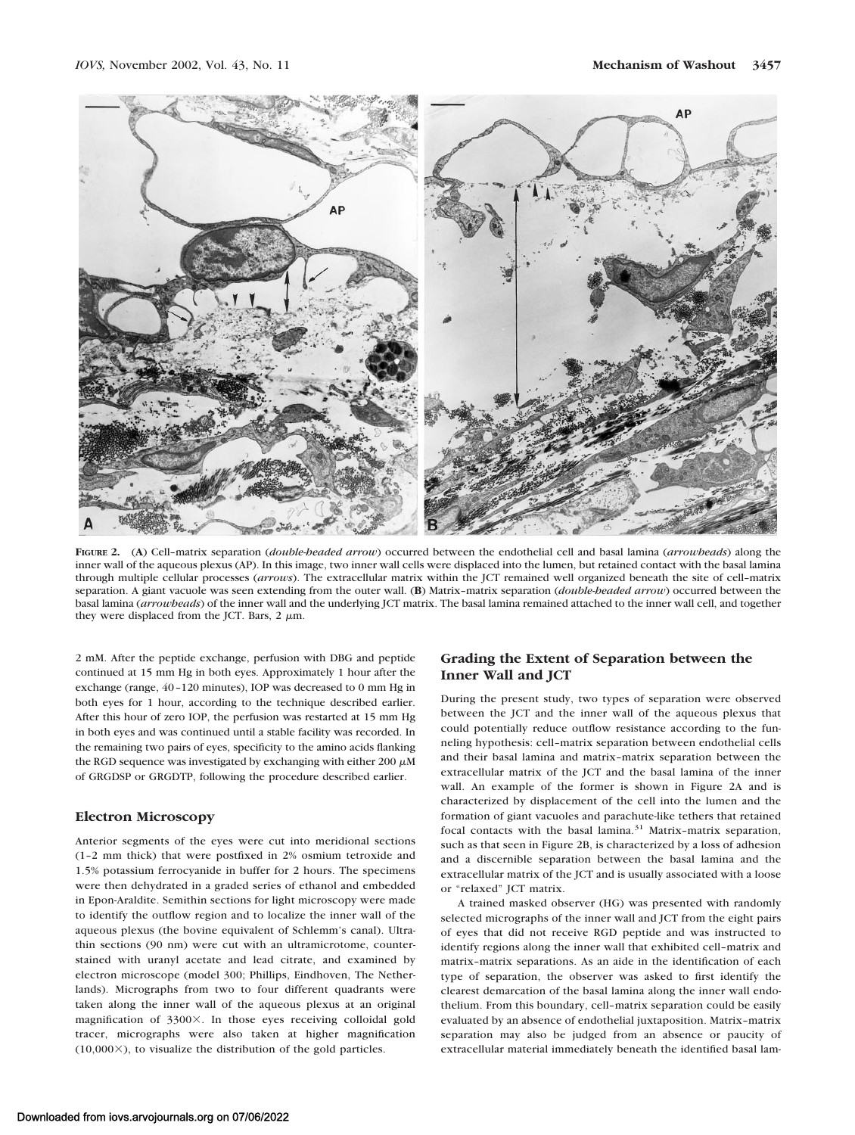

**FIGURE 2.** (**A**) Cell–matrix separation (*double-headed arrow*) occurred between the endothelial cell and basal lamina (*arrowheads*) along the inner wall of the aqueous plexus (AP). In this image, two inner wall cells were displaced into the lumen, but retained contact with the basal lamina through multiple cellular processes (*arrows*). The extracellular matrix within the JCT remained well organized beneath the site of cell–matrix separation. A giant vacuole was seen extending from the outer wall. (**B**) Matrix–matrix separation (*double-headed arrow*) occurred between the basal lamina (*arrowheads*) of the inner wall and the underlying JCT matrix. The basal lamina remained attached to the inner wall cell, and together they were displaced from the JCT. Bars,  $2 \mu m$ .

2 mM. After the peptide exchange, perfusion with DBG and peptide continued at 15 mm Hg in both eyes. Approximately 1 hour after the exchange (range, 40–120 minutes), IOP was decreased to 0 mm Hg in both eyes for 1 hour, according to the technique described earlier. After this hour of zero IOP, the perfusion was restarted at 15 mm Hg in both eyes and was continued until a stable facility was recorded. In the remaining two pairs of eyes, specificity to the amino acids flanking the RGD sequence was investigated by exchanging with either 200  $\mu$ M of GRGDSP or GRGDTP, following the procedure described earlier.

#### **Electron Microscopy**

Anterior segments of the eyes were cut into meridional sections (1–2 mm thick) that were postfixed in 2% osmium tetroxide and 1.5% potassium ferrocyanide in buffer for 2 hours. The specimens were then dehydrated in a graded series of ethanol and embedded in Epon-Araldite. Semithin sections for light microscopy were made to identify the outflow region and to localize the inner wall of the aqueous plexus (the bovine equivalent of Schlemm's canal). Ultrathin sections (90 nm) were cut with an ultramicrotome, counterstained with uranyl acetate and lead citrate, and examined by electron microscope (model 300; Phillips, Eindhoven, The Netherlands). Micrographs from two to four different quadrants were taken along the inner wall of the aqueous plexus at an original magnification of  $3300\times$ . In those eyes receiving colloidal gold tracer, micrographs were also taken at higher magnification  $(10,000\times)$ , to visualize the distribution of the gold particles.

# **Grading the Extent of Separation between the Inner Wall and JCT**

During the present study, two types of separation were observed between the JCT and the inner wall of the aqueous plexus that could potentially reduce outflow resistance according to the funneling hypothesis: cell–matrix separation between endothelial cells and their basal lamina and matrix–matrix separation between the extracellular matrix of the JCT and the basal lamina of the inner wall. An example of the former is shown in Figure 2A and is characterized by displacement of the cell into the lumen and the formation of giant vacuoles and parachute-like tethers that retained focal contacts with the basal lamina. $31$  Matrix-matrix separation, such as that seen in Figure 2B, is characterized by a loss of adhesion and a discernible separation between the basal lamina and the extracellular matrix of the JCT and is usually associated with a loose or "relaxed" JCT matrix.

A trained masked observer (HG) was presented with randomly selected micrographs of the inner wall and JCT from the eight pairs of eyes that did not receive RGD peptide and was instructed to identify regions along the inner wall that exhibited cell–matrix and matrix–matrix separations. As an aide in the identification of each type of separation, the observer was asked to first identify the clearest demarcation of the basal lamina along the inner wall endothelium. From this boundary, cell–matrix separation could be easily evaluated by an absence of endothelial juxtaposition. Matrix–matrix separation may also be judged from an absence or paucity of extracellular material immediately beneath the identified basal lam-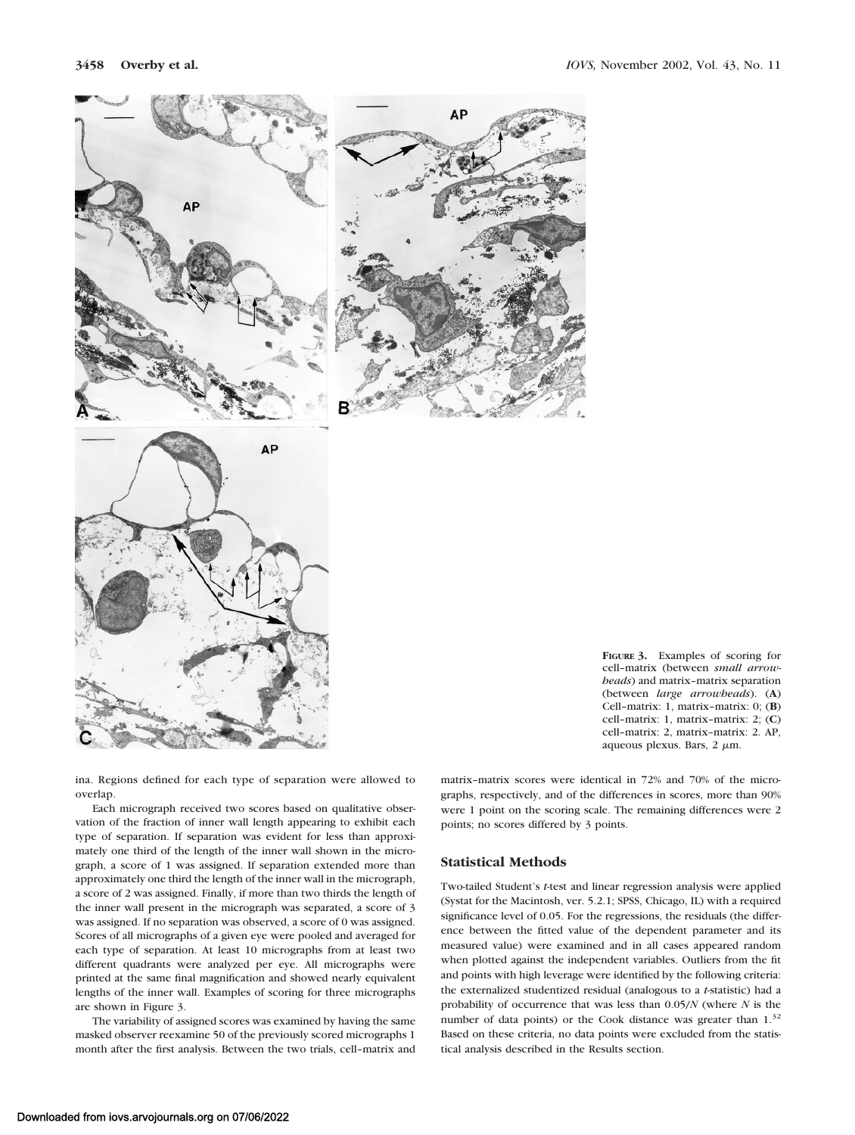



ina. Regions defined for each type of separation were allowed to overlap.

Each micrograph received two scores based on qualitative observation of the fraction of inner wall length appearing to exhibit each type of separation. If separation was evident for less than approximately one third of the length of the inner wall shown in the micrograph, a score of 1 was assigned. If separation extended more than approximately one third the length of the inner wall in the micrograph, a score of 2 was assigned. Finally, if more than two thirds the length of the inner wall present in the micrograph was separated, a score of 3 was assigned. If no separation was observed, a score of 0 was assigned. Scores of all micrographs of a given eye were pooled and averaged for each type of separation. At least 10 micrographs from at least two different quadrants were analyzed per eye. All micrographs were printed at the same final magnification and showed nearly equivalent lengths of the inner wall. Examples of scoring for three micrographs are shown in Figure 3.

The variability of assigned scores was examined by having the same masked observer reexamine 50 of the previously scored micrographs 1 month after the first analysis. Between the two trials, cell–matrix and

matrix–matrix scores were identical in 72% and 70% of the micrographs, respectively, and of the differences in scores, more than 90% were 1 point on the scoring scale. The remaining differences were 2 points; no scores differed by 3 points.

### **Statistical Methods**

Two-tailed Student's *t*-test and linear regression analysis were applied (Systat for the Macintosh, ver. 5.2.1; SPSS, Chicago, IL) with a required significance level of 0.05. For the regressions, the residuals (the difference between the fitted value of the dependent parameter and its measured value) were examined and in all cases appeared random when plotted against the independent variables. Outliers from the fit and points with high leverage were identified by the following criteria: the externalized studentized residual (analogous to a *t*-statistic) had a probability of occurrence that was less than 0.05/*N* (where *N* is the number of data points) or the Cook distance was greater than  $1.^{32}$ Based on these criteria, no data points were excluded from the statistical analysis described in the Results section.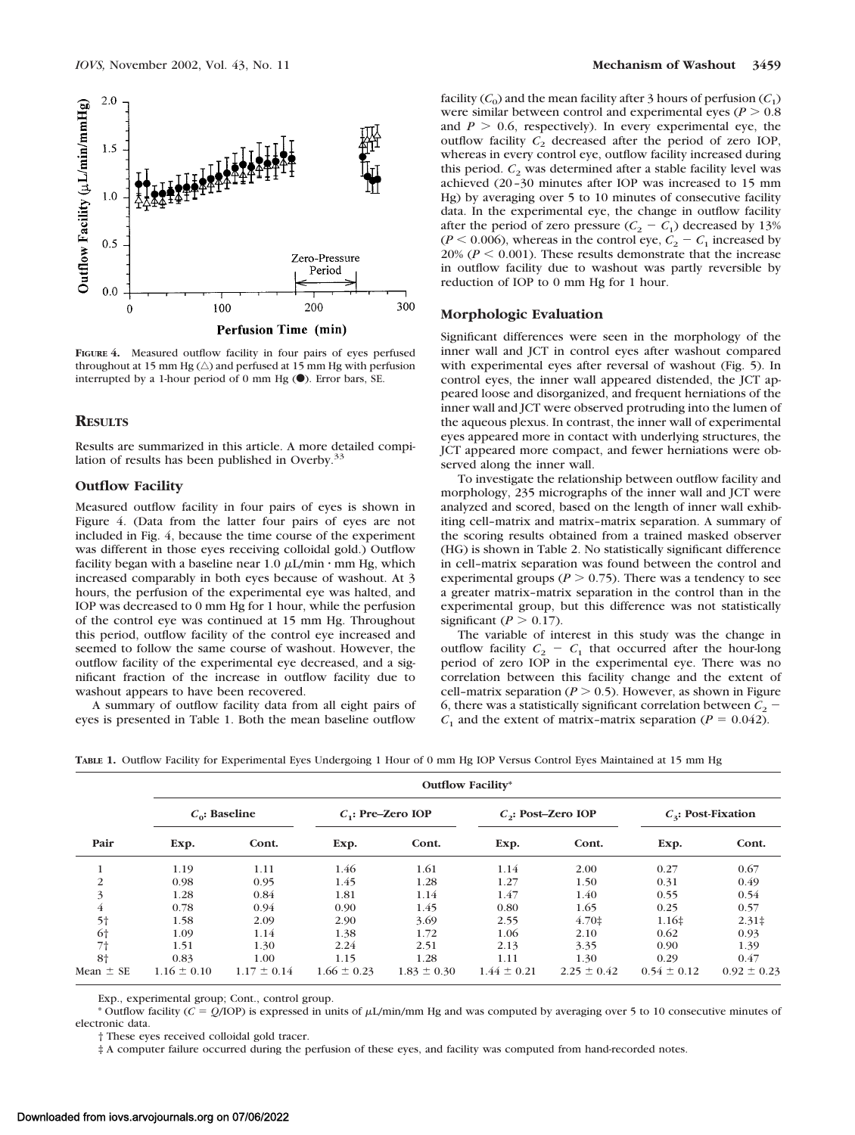

**FIGURE 4.** Measured outflow facility in four pairs of eyes perfused throughout at 15 mm Hg  $(\triangle)$  and perfused at 15 mm Hg with perfusion interrupted by a 1-hour period of 0 mm Hg  $(\bullet)$ . Error bars, SE.

#### **RESULTS**

Results are summarized in this article. A more detailed compilation of results has been published in Overby.<sup>33</sup>

#### **Outflow Facility**

Measured outflow facility in four pairs of eyes is shown in Figure 4. (Data from the latter four pairs of eyes are not included in Fig. 4, because the time course of the experiment was different in those eyes receiving colloidal gold.) Outflow facility began with a baseline near  $1.0 \mu L/min \cdot mm$  Hg, which increased comparably in both eyes because of washout. At 3 hours, the perfusion of the experimental eye was halted, and IOP was decreased to 0 mm Hg for 1 hour, while the perfusion of the control eye was continued at 15 mm Hg. Throughout this period, outflow facility of the control eye increased and seemed to follow the same course of washout. However, the outflow facility of the experimental eye decreased, and a significant fraction of the increase in outflow facility due to washout appears to have been recovered.

A summary of outflow facility data from all eight pairs of eyes is presented in Table 1. Both the mean baseline outflow facility  $(C_0)$  and the mean facility after 3 hours of perfusion  $(C_1)$ were similar between control and experimental eyes ( $P > 0.8$ ) and  $P > 0.6$ , respectively). In every experimental eye, the outflow facility  $C_2$  decreased after the period of zero IOP, whereas in every control eye, outflow facility increased during this period.  $C_2$  was determined after a stable facility level was achieved (20–30 minutes after IOP was increased to 15 mm Hg) by averaging over 5 to 10 minutes of consecutive facility data. In the experimental eye, the change in outflow facility after the period of zero pressure  $(C_2 - C_1)$  decreased by 13%  $(P < 0.006)$ , whereas in the control eye,  $C_2 - C_1$  increased by 20% ( $P < 0.001$ ). These results demonstrate that the increase in outflow facility due to washout was partly reversible by reduction of IOP to 0 mm Hg for 1 hour.

#### **Morphologic Evaluation**

Significant differences were seen in the morphology of the inner wall and JCT in control eyes after washout compared with experimental eyes after reversal of washout (Fig. 5). In control eyes, the inner wall appeared distended, the JCT appeared loose and disorganized, and frequent herniations of the inner wall and JCT were observed protruding into the lumen of the aqueous plexus. In contrast, the inner wall of experimental eyes appeared more in contact with underlying structures, the JCT appeared more compact, and fewer herniations were observed along the inner wall.

To investigate the relationship between outflow facility and morphology, 235 micrographs of the inner wall and JCT were analyzed and scored, based on the length of inner wall exhibiting cell–matrix and matrix–matrix separation. A summary of the scoring results obtained from a trained masked observer (HG) is shown in Table 2. No statistically significant difference in cell–matrix separation was found between the control and experimental groups ( $P > 0.75$ ). There was a tendency to see a greater matrix–matrix separation in the control than in the experimental group, but this difference was not statistically significant ( $P > 0.17$ ).

The variable of interest in this study was the change in outflow facility  $C_2 - C_1$  that occurred after the hour-long period of zero IOP in the experimental eye. There was no correlation between this facility change and the extent of cell-matrix separation ( $P > 0.5$ ). However, as shown in Figure 6, there was a statistically significant correlation between  $C_2$ .  $C_1$  and the extent of matrix-matrix separation ( $P = 0.042$ ).

|  |  |  |  | TABLE 1. Outflow Facility for Experimental Eyes Undergoing 1 Hour of 0 mm Hg IOP Versus Control Eyes Maintained at 15 mm Hg |  |
|--|--|--|--|-----------------------------------------------------------------------------------------------------------------------------|--|
|--|--|--|--|-----------------------------------------------------------------------------------------------------------------------------|--|

|                | <b>Outflow Facility*</b> |                 |                     |                 |                       |                 |                       |                 |  |
|----------------|--------------------------|-----------------|---------------------|-----------------|-----------------------|-----------------|-----------------------|-----------------|--|
|                | $C_{0}$ : Baseline       |                 | $C1$ : Pre-Zero IOP |                 | $C_2$ : Post-Zero IOP |                 | $C_3$ : Post-Fixation |                 |  |
| Pair           | Exp.                     | Cont.           | Exp.                | Cont.           | Exp.                  | Cont.           | Exp.                  | Cont.           |  |
|                | 1.19                     | 1.11            | 1.46                | 1.61            | 1.14                  | 2.00            | 0.27                  | 0.67            |  |
| $\overline{2}$ | 0.98                     | 0.95            | 1.45                | 1.28            | 1.27                  | 1.50            | 0.31                  | 0.49            |  |
| 3              | 1.28                     | 0.84            | 1.81                | 1.14            | 1.47                  | 1.40            | 0.55                  | 0.54            |  |
| 4              | 0.78                     | 0.94            | 0.90                | 1.45            | 0.80                  | 1.65            | 0.25                  | 0.57            |  |
| 5 <sup>†</sup> | 1.58                     | 2.09            | 2.90                | 3.69            | 2.55                  | $4.70+$         | $1.16\pm$             | $2.31 \pm$      |  |
| 6†             | 1.09                     | 1.14            | 1.38                | 1.72            | 1.06                  | 2.10            | 0.62                  | 0.93            |  |
| 7†             | 1.51                     | 1.30            | 2.24                | 2.51            | 2.13                  | 3.35            | 0.90                  | 1.39            |  |
| $8+$           | 0.83                     | 1.00            | 1.15                | 1.28            | 1.11                  | 1.30            | 0.29                  | 0.47            |  |
| Mean $\pm$ SE  | $1.16 \pm 0.10$          | $1.17 \pm 0.14$ | $1.66 \pm 0.23$     | $1.83 \pm 0.30$ | $1.44 \pm 0.21$       | $2.25 \pm 0.42$ | $0.54 \pm 0.12$       | $0.92 \pm 0.23$ |  |

Exp., experimental group; Cont., control group.

\* Outflow facility  $(C = Q/IOP)$  is expressed in units of  $\mu I/\min/\min$  Hg and was computed by averaging over 5 to 10 consecutive minutes of electronic data.

† These eyes received colloidal gold tracer.

‡ A computer failure occurred during the perfusion of these eyes, and facility was computed from hand-recorded notes.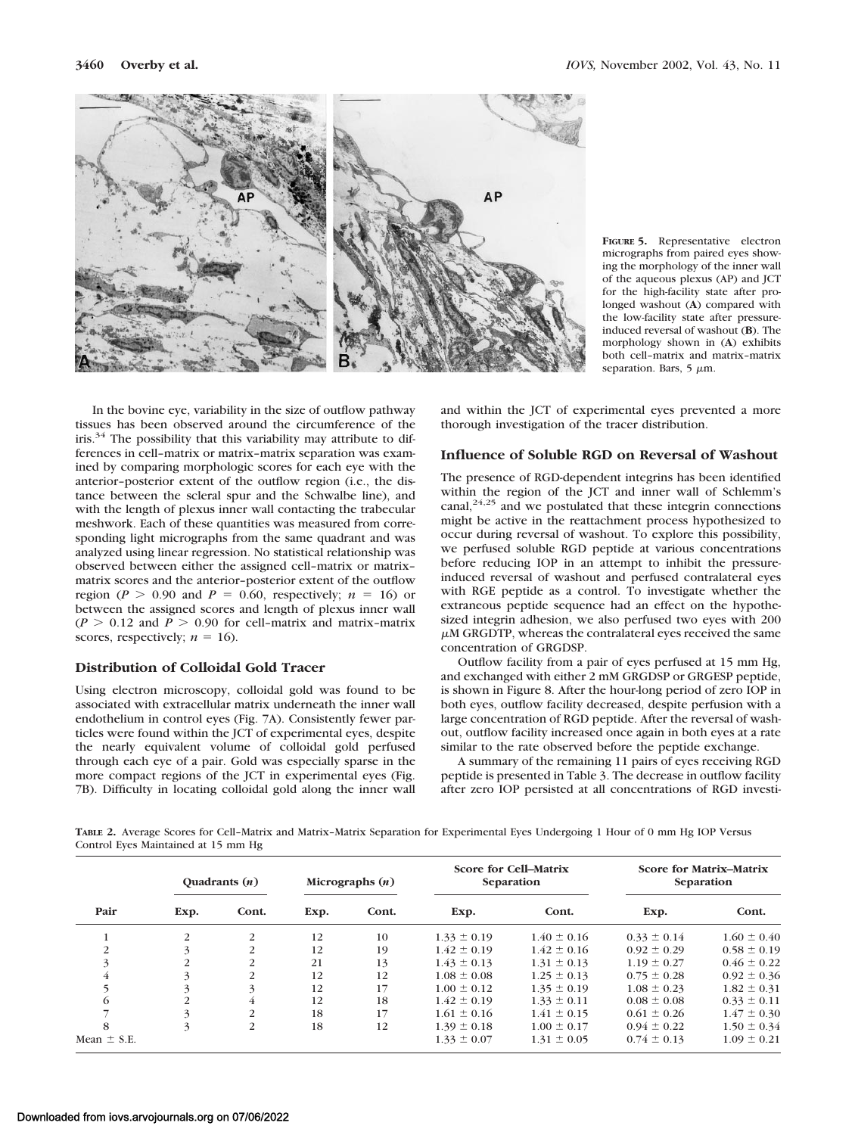

**FIGURE 5.** Representative electron micrographs from paired eyes showing the morphology of the inner wall of the aqueous plexus (AP) and JCT for the high-facility state after prolonged washout (**A**) compared with the low-facility state after pressureinduced reversal of washout (**B**). The morphology shown in (**A**) exhibits both cell–matrix and matrix–matrix separation. Bars,  $5 \mu m$ .

In the bovine eye, variability in the size of outflow pathway tissues has been observed around the circumference of the iris.<sup>34</sup> The possibility that this variability may attribute to differences in cell–matrix or matrix–matrix separation was examined by comparing morphologic scores for each eye with the anterior–posterior extent of the outflow region (i.e., the distance between the scleral spur and the Schwalbe line), and with the length of plexus inner wall contacting the trabecular meshwork. Each of these quantities was measured from corresponding light micrographs from the same quadrant and was analyzed using linear regression. No statistical relationship was observed between either the assigned cell–matrix or matrix– matrix scores and the anterior–posterior extent of the outflow region ( $P > 0.90$  and  $P = 0.60$ , respectively;  $n = 16$ ) or between the assigned scores and length of plexus inner wall  $(P > 0.12$  and  $P > 0.90$  for cell-matrix and matrix-matrix scores, respectively;  $n = 16$ ).

# **Distribution of Colloidal Gold Tracer**

Using electron microscopy, colloidal gold was found to be associated with extracellular matrix underneath the inner wall endothelium in control eyes (Fig. 7A). Consistently fewer particles were found within the JCT of experimental eyes, despite the nearly equivalent volume of colloidal gold perfused through each eye of a pair. Gold was especially sparse in the more compact regions of the JCT in experimental eyes (Fig. 7B). Difficulty in locating colloidal gold along the inner wall and within the JCT of experimental eyes prevented a more thorough investigation of the tracer distribution.

# **Influence of Soluble RGD on Reversal of Washout**

The presence of RGD-dependent integrins has been identified within the region of the JCT and inner wall of Schlemm's canal, $24,25$  and we postulated that these integrin connections might be active in the reattachment process hypothesized to occur during reversal of washout. To explore this possibility, we perfused soluble RGD peptide at various concentrations before reducing IOP in an attempt to inhibit the pressureinduced reversal of washout and perfused contralateral eyes with RGE peptide as a control. To investigate whether the extraneous peptide sequence had an effect on the hypothesized integrin adhesion, we also perfused two eyes with 200  $\mu$ M GRGDTP, whereas the contralateral eyes received the same concentration of GRGDSP.

Outflow facility from a pair of eyes perfused at 15 mm Hg, and exchanged with either 2 mM GRGDSP or GRGESP peptide, is shown in Figure 8. After the hour-long period of zero IOP in both eyes, outflow facility decreased, despite perfusion with a large concentration of RGD peptide. After the reversal of washout, outflow facility increased once again in both eyes at a rate similar to the rate observed before the peptide exchange.

A summary of the remaining 11 pairs of eyes receiving RGD peptide is presented in Table 3. The decrease in outflow facility after zero IOP persisted at all concentrations of RGD investi-

**TABLE 2.** Average Scores for Cell–Matrix and Matrix–Matrix Separation for Experimental Eyes Undergoing 1 Hour of 0 mm Hg IOP Versus Control Eyes Maintained at 15 mm Hg

|                 | Quadrants $(n)$ |                | Micrographs $(n)$ |       | <b>Score for Cell-Matrix</b><br>Separation |                 | <b>Score for Matrix-Matrix</b><br>Separation |                 |
|-----------------|-----------------|----------------|-------------------|-------|--------------------------------------------|-----------------|----------------------------------------------|-----------------|
| Pair            | Exp.            | Cont.          | Exp.              | Cont. | Exp.                                       | Cont.           | Exp.                                         | Cont.           |
|                 | 2               | 2              | 12                | 10    | $1.33 \pm 0.19$                            | $1.40 \pm 0.16$ | $0.33 \pm 0.14$                              | $1.60 \pm 0.40$ |
| $\mathfrak{D}$  |                 | $\overline{2}$ | 12                | 19    | $1.42 \pm 0.19$                            | $1.42 \pm 0.16$ | $0.92 \pm 0.29$                              | $0.58 \pm 0.19$ |
| 3               | 2               | 2              | 21                | 13    | $1.43 \pm 0.13$                            | $1.31 \pm 0.13$ | $1.19 \pm 0.27$                              | $0.46 \pm 0.22$ |
| 4               |                 | $\mathcal{L}$  | 12                | 12    | $1.08 \pm 0.08$                            | $1.25 \pm 0.13$ | $0.75 \pm 0.28$                              | $0.92 \pm 0.36$ |
|                 |                 | 3              | 12                | 17    | $1.00 \pm 0.12$                            | $1.35 \pm 0.19$ | $1.08 \pm 0.23$                              | $1.82 \pm 0.31$ |
| 6               | 2               | 4              | 12                | 18    | $1.42 \pm 0.19$                            | $1.33 \pm 0.11$ | $0.08 \pm 0.08$                              | $0.33 \pm 0.11$ |
|                 |                 | 2              | 18                | 17    | $1.61 \pm 0.16$                            | $1.41 \pm 0.15$ | $0.61 \pm 0.26$                              | $1.47 \pm 0.30$ |
| 8               | 3               | 2              | 18                | 12    | $1.39 \pm 0.18$                            | $1.00 \pm 0.17$ | $0.94 \pm 0.22$                              | $1.50 \pm 0.34$ |
| Mean $\pm$ S.E. |                 |                |                   |       | $1.33 \pm 0.07$                            | $1.31 \pm 0.05$ | $0.74 \pm 0.13$                              | $1.09 \pm 0.21$ |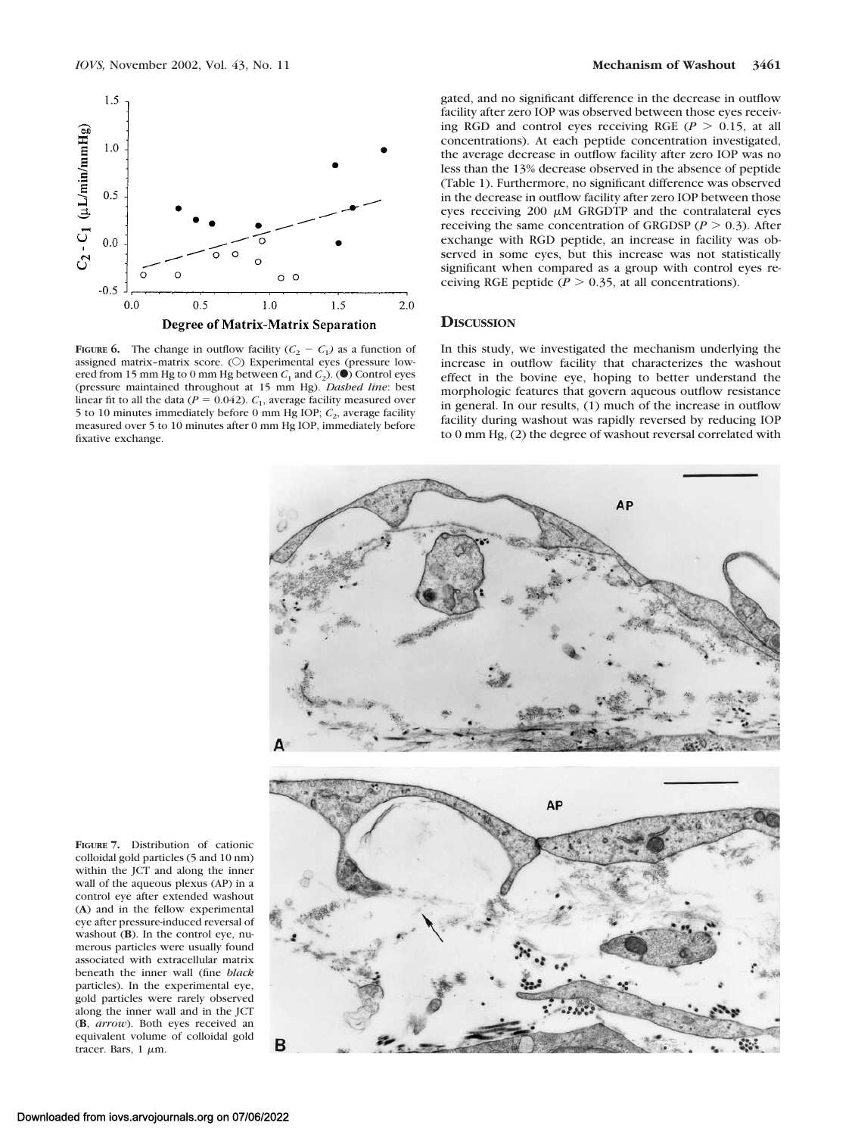

**FIGURE 6.** The change in outflow facility  $(C_2 - C_1)$  as a function of assigned matrix-matrix score.  $(O)$  Experimental eyes (pressure lowered from 15 mm Hg to 0 mm Hg between  $C_1$  and  $C_2$ ). ( $\bullet$ ) Control eyes (pressure maintained throughout at 15 mm Hg). *Dashed line*: best linear fit to all the data ( $P = 0.042$ ).  $C_1$ , average facility measured over 5 to 10 minutes immediately before 0 mm Hg IOP;  $C_2$ , average facility measured over 5 to 10 minutes after 0 mm Hg IOP, immediately before fixative exchange.

gated, and no significant difference in the decrease in outflow facility after zero IOP was observed between those eyes receiving RGD and control eyes receiving RGE ( $P > 0.15$ , at all concentrations). At each peptide concentration investigated, the average decrease in outflow facility after zero IOP was no less than the 13% decrease observed in the absence of peptide (Table 1). Furthermore, no significant difference was observed in the decrease in outflow facility after zero IOP between those eyes receiving 200  $\mu$ M GRGDTP and the contralateral eyes receiving the same concentration of GRGDSP ( $P > 0.3$ ). After exchange with RGD peptide, an increase in facility was observed in some eyes, but this increase was not statistically significant when compared as a group with control eyes receiving RGE peptide ( $P > 0.35$ , at all concentrations).

#### **DISCUSSION**

In this study, we investigated the mechanism underlying the increase in outflow facility that characterizes the washout effect in the bovine eye, hoping to better understand the morphologic features that govern aqueous outflow resistance in general. In our results, (1) much of the increase in outflow facility during washout was rapidly reversed by reducing IOP to 0 mm Hg, (2) the degree of washout reversal correlated with



**FIGURE 7.** Distribution of cationic colloidal gold particles (5 and 10 nm) within the JCT and along the inner wall of the aqueous plexus (AP) in a control eye after extended washout (**A**) and in the fellow experimental eye after pressure-induced reversal of washout (**B**). In the control eve, numerous particles were usually found associated with extracellular matrix beneath the inner wall (fine *black* particles). In the experimental eye, gold particles were rarely observed along the inner wall and in the JCT (**B**, *arrow*). Both eyes received an equivalent volume of colloidal gold tracer. Bars,  $1 \mu m$ .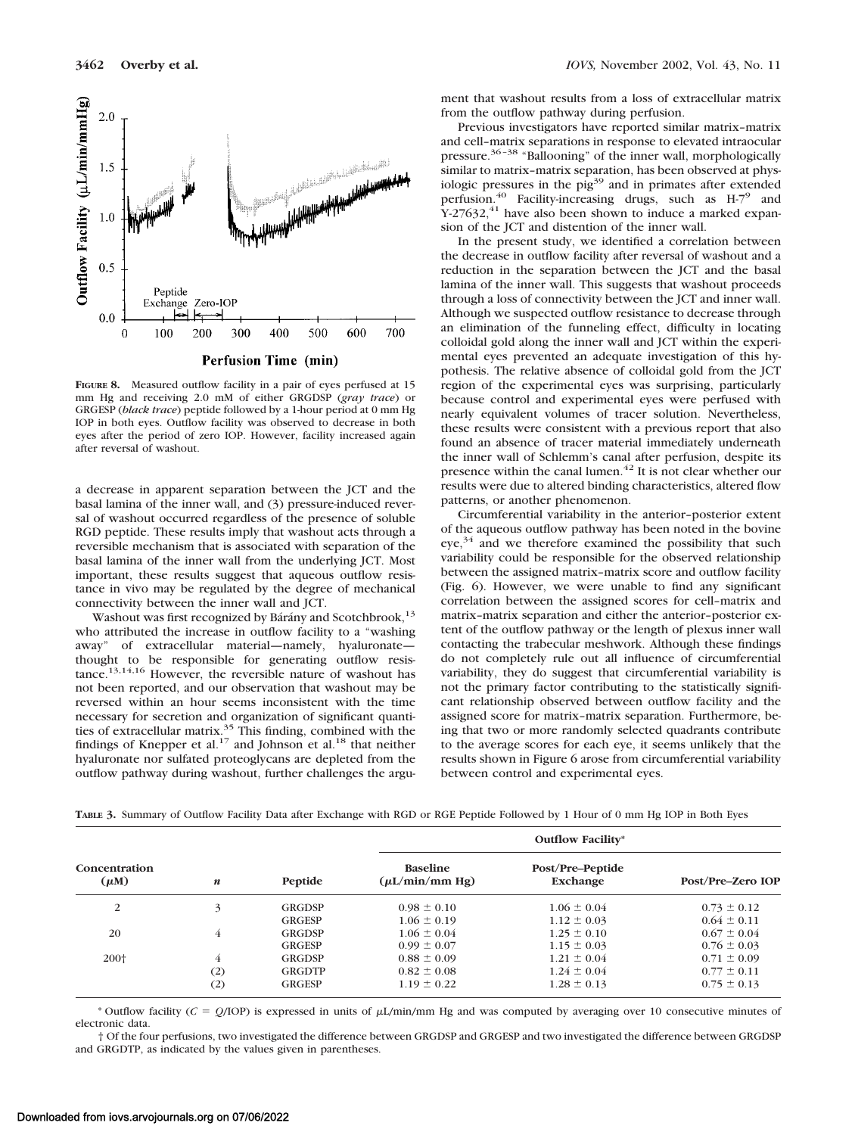

**FIGURE 8.** Measured outflow facility in a pair of eyes perfused at 15 mm Hg and receiving 2.0 mM of either GRGDSP (*gray trace*) or GRGESP (*black trace*) peptide followed by a 1-hour period at 0 mm Hg IOP in both eyes. Outflow facility was observed to decrease in both eyes after the period of zero IOP. However, facility increased again after reversal of washout.

a decrease in apparent separation between the JCT and the basal lamina of the inner wall, and (3) pressure-induced reversal of washout occurred regardless of the presence of soluble RGD peptide. These results imply that washout acts through a reversible mechanism that is associated with separation of the basal lamina of the inner wall from the underlying JCT. Most important, these results suggest that aqueous outflow resistance in vivo may be regulated by the degree of mechanical connectivity between the inner wall and JCT.

Washout was first recognized by Bárány and Scotchbrook,<sup>13</sup> who attributed the increase in outflow facility to a "washing away" of extracellular material—namely, hyaluronate thought to be responsible for generating outflow resistance.13,14,16 However, the reversible nature of washout has not been reported, and our observation that washout may be reversed within an hour seems inconsistent with the time necessary for secretion and organization of significant quanti-<br>ties of extracellular matrix.<sup>35</sup> This finding, combined with the findings of Knepper et al.<sup>17</sup> and Johnson et al.<sup>18</sup> that neither hyaluronate nor sulfated proteoglycans are depleted from the outflow pathway during washout, further challenges the argument that washout results from a loss of extracellular matrix from the outflow pathway during perfusion.

Previous investigators have reported similar matrix–matrix and cell–matrix separations in response to elevated intraocular pressure.36–38 "Ballooning" of the inner wall, morphologically similar to matrix–matrix separation, has been observed at physiologic pressures in the  $pi^{39}$  and in primates after extended perfusion.40 Facility-increasing drugs, such as H-79 and  $Y-27632$ ,<sup>41</sup> have also been shown to induce a marked expansion of the JCT and distention of the inner wall.

In the present study, we identified a correlation between the decrease in outflow facility after reversal of washout and a reduction in the separation between the JCT and the basal lamina of the inner wall. This suggests that washout proceeds through a loss of connectivity between the JCT and inner wall. Although we suspected outflow resistance to decrease through an elimination of the funneling effect, difficulty in locating colloidal gold along the inner wall and JCT within the experimental eyes prevented an adequate investigation of this hypothesis. The relative absence of colloidal gold from the JCT region of the experimental eyes was surprising, particularly because control and experimental eyes were perfused with nearly equivalent volumes of tracer solution. Nevertheless, these results were consistent with a previous report that also found an absence of tracer material immediately underneath the inner wall of Schlemm's canal after perfusion, despite its presence within the canal lumen.<sup>42</sup> It is not clear whether our results were due to altered binding characteristics, altered flow patterns, or another phenomenon.

Circumferential variability in the anterior–posterior extent of the aqueous outflow pathway has been noted in the bovine eye,<sup>34</sup> and we therefore examined the possibility that such variability could be responsible for the observed relationship between the assigned matrix–matrix score and outflow facility (Fig. 6). However, we were unable to find any significant correlation between the assigned scores for cell–matrix and matrix–matrix separation and either the anterior–posterior extent of the outflow pathway or the length of plexus inner wall contacting the trabecular meshwork. Although these findings do not completely rule out all influence of circumferential variability, they do suggest that circumferential variability is not the primary factor contributing to the statistically significant relationship observed between outflow facility and the assigned score for matrix–matrix separation. Furthermore, being that two or more randomly selected quadrants contribute to the average scores for each eye, it seems unlikely that the results shown in Figure 6 arose from circumferential variability between control and experimental eyes.

|  |  |  | TABLE 3. Summary of Outflow Facility Data after Exchange with RGD or RGE Peptide Followed by 1 Hour of 0 mm Hg IOP in Both Eyes |
|--|--|--|---------------------------------------------------------------------------------------------------------------------------------|
|--|--|--|---------------------------------------------------------------------------------------------------------------------------------|

| Concentration<br>$(\mu M)$ |                  |               | <b>Outflow Facility*</b>               |                              |                   |  |
|----------------------------|------------------|---------------|----------------------------------------|------------------------------|-------------------|--|
|                            | $\boldsymbol{n}$ | Peptide       | <b>Baseline</b><br>$(\mu L/min/mm Hg)$ | Post/Pre-Peptide<br>Exchange | Post/Pre-Zero IOP |  |
| 2                          | 3                | GRGDSP        | $0.98 \pm 0.10$                        | $1.06 \pm 0.04$              | $0.73 \pm 0.12$   |  |
|                            |                  | GRGESP        | $1.06 \pm 0.19$                        | $1.12 \pm 0.03$              | $0.64 \pm 0.11$   |  |
| 20                         | 4                | <b>GRGDSP</b> | $1.06 \pm 0.04$                        | $1.25 \pm 0.10$              | $0.67 \pm 0.04$   |  |
|                            |                  | GRGESP        | $0.99 \pm 0.07$                        | $1.15 \pm 0.03$              | $0.76 \pm 0.03$   |  |
| 200 <sup>+</sup>           | 4                | <b>GRGDSP</b> | $0.88 \pm 0.09$                        | $1.21 \pm 0.04$              | $0.71 \pm 0.09$   |  |
|                            | (2)              | GRGDTP        | $0.82 \pm 0.08$                        | $1.24 \pm 0.04$              | $0.77 \pm 0.11$   |  |
|                            | (2)              | <b>GRGESP</b> | $1.19 \pm 0.22$                        | $1.28 \pm 0.13$              | $0.75 \pm 0.13$   |  |

\* Outflow facility ( $C = Q$ /IOP) is expressed in units of  $\mu$ L/min/mm Hg and was computed by averaging over 10 consecutive minutes of electronic data.

† Of the four perfusions, two investigated the difference between GRGDSP and GRGESP and two investigated the difference between GRGDSP and GRGDTP, as indicated by the values given in parentheses.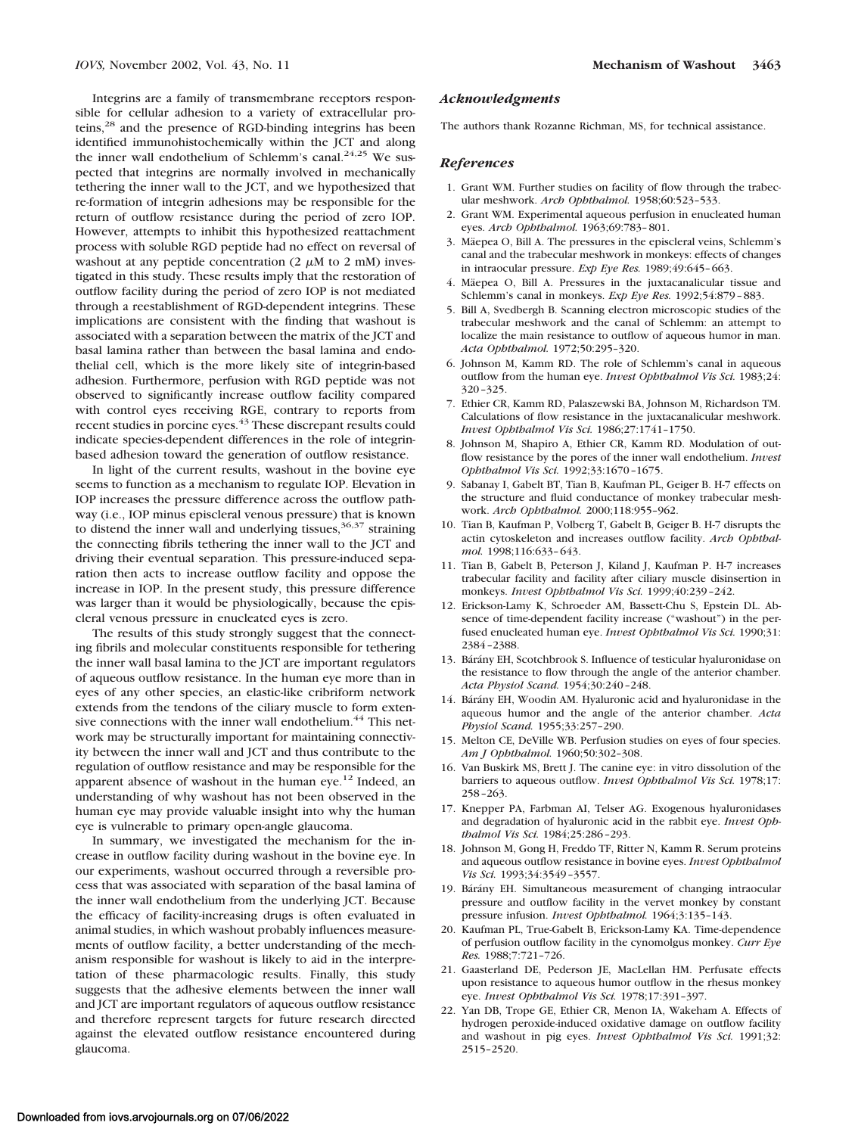Integrins are a family of transmembrane receptors responsible for cellular adhesion to a variety of extracellular proteins,<sup>28</sup> and the presence of RGD-binding integrins has been identified immunohistochemically within the JCT and along the inner wall endothelium of Schlemm's canal.<sup>24,25</sup> We suspected that integrins are normally involved in mechanically tethering the inner wall to the JCT, and we hypothesized that re-formation of integrin adhesions may be responsible for the return of outflow resistance during the period of zero IOP. However, attempts to inhibit this hypothesized reattachment process with soluble RGD peptide had no effect on reversal of washout at any peptide concentration  $(2 \mu M)$  to  $2 \mu M$ ) investigated in this study. These results imply that the restoration of outflow facility during the period of zero IOP is not mediated through a reestablishment of RGD-dependent integrins. These implications are consistent with the finding that washout is associated with a separation between the matrix of the JCT and basal lamina rather than between the basal lamina and endothelial cell, which is the more likely site of integrin-based adhesion. Furthermore, perfusion with RGD peptide was not observed to significantly increase outflow facility compared with control eyes receiving RGE, contrary to reports from recent studies in porcine eyes.<sup>43</sup> These discrepant results could indicate species-dependent differences in the role of integrinbased adhesion toward the generation of outflow resistance.

In light of the current results, washout in the bovine eye seems to function as a mechanism to regulate IOP. Elevation in IOP increases the pressure difference across the outflow pathway (i.e., IOP minus episcleral venous pressure) that is known to distend the inner wall and underlying tissues,  $36,37$  straining the connecting fibrils tethering the inner wall to the JCT and driving their eventual separation. This pressure-induced separation then acts to increase outflow facility and oppose the increase in IOP. In the present study, this pressure difference was larger than it would be physiologically, because the episcleral venous pressure in enucleated eyes is zero.

The results of this study strongly suggest that the connecting fibrils and molecular constituents responsible for tethering the inner wall basal lamina to the JCT are important regulators of aqueous outflow resistance. In the human eye more than in eyes of any other species, an elastic-like cribriform network extends from the tendons of the ciliary muscle to form extensive connections with the inner wall endothelium.<sup>44</sup> This network may be structurally important for maintaining connectivity between the inner wall and JCT and thus contribute to the regulation of outflow resistance and may be responsible for the apparent absence of washout in the human eye.<sup>12</sup> Indeed, an understanding of why washout has not been observed in the human eye may provide valuable insight into why the human eye is vulnerable to primary open-angle glaucoma.

In summary, we investigated the mechanism for the increase in outflow facility during washout in the bovine eye. In our experiments, washout occurred through a reversible process that was associated with separation of the basal lamina of the inner wall endothelium from the underlying JCT. Because the efficacy of facility-increasing drugs is often evaluated in animal studies, in which washout probably influences measurements of outflow facility, a better understanding of the mechanism responsible for washout is likely to aid in the interpretation of these pharmacologic results. Finally, this study suggests that the adhesive elements between the inner wall and JCT are important regulators of aqueous outflow resistance and therefore represent targets for future research directed against the elevated outflow resistance encountered during glaucoma.

#### *Acknowledgments*

The authors thank Rozanne Richman, MS, for technical assistance.

#### *References*

- 1. Grant WM. Further studies on facility of flow through the trabecular meshwork. *Arch Ophthalmol.* 1958;60:523–533.
- 2. Grant WM. Experimental aqueous perfusion in enucleated human eyes. *Arch Ophthalmol.* 1963;69:783–801.
- 3. Mäepea O, Bill A. The pressures in the episcleral veins, Schlemm's canal and the trabecular meshwork in monkeys: effects of changes in intraocular pressure. *Exp Eye Res.* 1989;49:645–663.
- 4. Mäepea O, Bill A. Pressures in the juxtacanalicular tissue and Schlemm's canal in monkeys. *Exp Eye Res.* 1992;54:879–883.
- 5. Bill A, Svedbergh B. Scanning electron microscopic studies of the trabecular meshwork and the canal of Schlemm: an attempt to localize the main resistance to outflow of aqueous humor in man. *Acta Ophthalmol.* 1972;50:295–320.
- 6. Johnson M, Kamm RD. The role of Schlemm's canal in aqueous outflow from the human eye. *Invest Ophthalmol Vis Sci.* 1983;24: 320–325.
- 7. Ethier CR, Kamm RD, Palaszewski BA, Johnson M, Richardson TM. Calculations of flow resistance in the juxtacanalicular meshwork. *Invest Ophthalmol Vis Sci.* 1986;27:1741–1750.
- 8. Johnson M, Shapiro A, Ethier CR, Kamm RD. Modulation of outflow resistance by the pores of the inner wall endothelium. *Invest Ophthalmol Vis Sci.* 1992;33:1670–1675.
- 9. Sabanay I, Gabelt BT, Tian B, Kaufman PL, Geiger B. H-7 effects on the structure and fluid conductance of monkey trabecular meshwork. *Arch Ophthalmol.* 2000;118:955–962.
- 10. Tian B, Kaufman P, Volberg T, Gabelt B, Geiger B. H-7 disrupts the actin cytoskeleton and increases outflow facility. *Arch Ophthalmol.* 1998;116:633–643.
- 11. Tian B, Gabelt B, Peterson J, Kiland J, Kaufman P. H-7 increases trabecular facility and facility after ciliary muscle disinsertion in monkeys. *Invest Ophthalmol Vis Sci.* 1999;40:239–242.
- 12. Erickson-Lamy K, Schroeder AM, Bassett-Chu S, Epstein DL. Absence of time-dependent facility increase ("washout") in the perfused enucleated human eye. *Invest Ophthalmol Vis Sci.* 1990;31: 2384–2388.
- 13. Bárány EH, Scotchbrook S. Influence of testicular hyaluronidase on the resistance to flow through the angle of the anterior chamber. *Acta Physiol Scand.* 1954;30:240–248.
- 14. Bárány EH, Woodin AM. Hyaluronic acid and hyaluronidase in the aqueous humor and the angle of the anterior chamber. *Acta Physiol Scand.* 1955;33:257–290.
- 15. Melton CE, DeVille WB. Perfusion studies on eyes of four species. *Am J Ophthalmol.* 1960;50:302–308.
- 16. Van Buskirk MS, Brett J. The canine eye: in vitro dissolution of the barriers to aqueous outflow. *Invest Ophthalmol Vis Sci.* 1978;17: 258–263.
- 17. Knepper PA, Farbman AI, Telser AG. Exogenous hyaluronidases and degradation of hyaluronic acid in the rabbit eye. *Invest Ophthalmol Vis Sci.* 1984;25:286–293.
- 18. Johnson M, Gong H, Freddo TF, Ritter N, Kamm R. Serum proteins and aqueous outflow resistance in bovine eyes. *Invest Ophthalmol Vis Sci.* 1993;34:3549–3557.
- 19. Bárány EH. Simultaneous measurement of changing intraocular pressure and outflow facility in the vervet monkey by constant pressure infusion. *Invest Ophthalmol.* 1964;3:135–143.
- 20. Kaufman PL, True-Gabelt B, Erickson-Lamy KA. Time-dependence of perfusion outflow facility in the cynomolgus monkey. *Curr Eye Res.* 1988;7:721–726.
- 21. Gaasterland DE, Pederson JE, MacLellan HM. Perfusate effects upon resistance to aqueous humor outflow in the rhesus monkey eye. *Invest Ophthalmol Vis Sci.* 1978;17:391–397.
- 22. Yan DB, Trope GE, Ethier CR, Menon IA, Wakeham A. Effects of hydrogen peroxide-induced oxidative damage on outflow facility and washout in pig eyes. *Invest Ophthalmol Vis Sci.* 1991;32: 2515–2520.